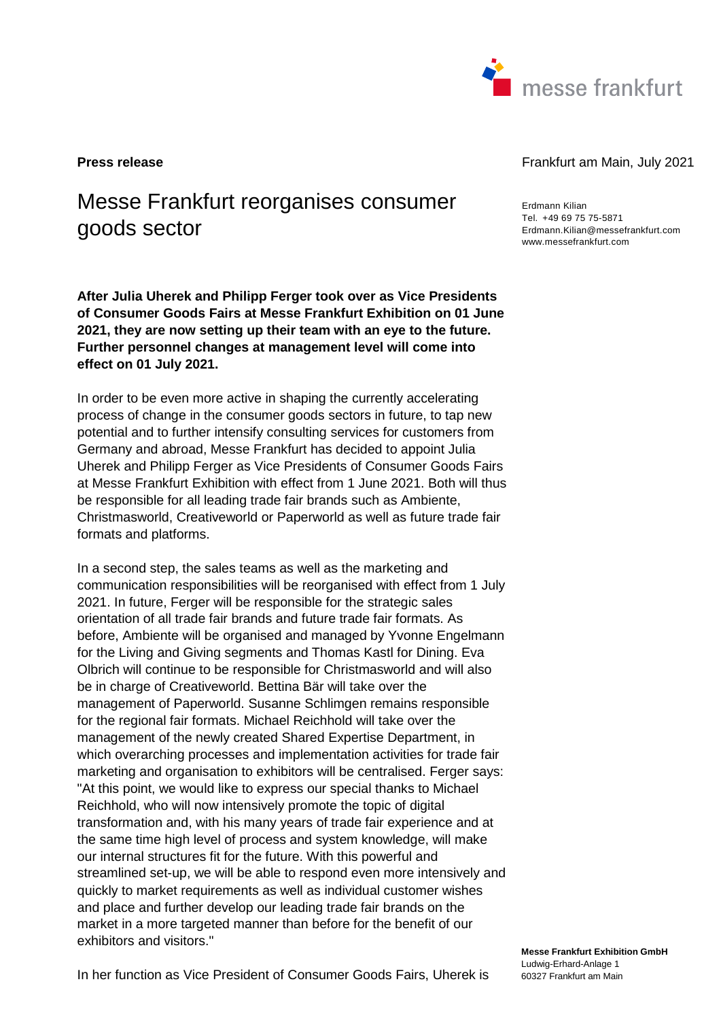

# Messe Frankfurt reorganises consumer goods sector

**After Julia Uherek and Philipp Ferger took over as Vice Presidents of Consumer Goods Fairs at Messe Frankfurt Exhibition on 01 June 2021, they are now setting up their team with an eye to the future. Further personnel changes at management level will come into effect on 01 July 2021.** 

In order to be even more active in shaping the currently accelerating process of change in the consumer goods sectors in future, to tap new potential and to further intensify consulting services for customers from Germany and abroad, Messe Frankfurt has decided to appoint Julia Uherek and Philipp Ferger as Vice Presidents of Consumer Goods Fairs at Messe Frankfurt Exhibition with effect from 1 June 2021. Both will thus be responsible for all leading trade fair brands such as Ambiente, Christmasworld, Creativeworld or Paperworld as well as future trade fair formats and platforms.

In a second step, the sales teams as well as the marketing and communication responsibilities will be reorganised with effect from 1 July 2021. In future, Ferger will be responsible for the strategic sales orientation of all trade fair brands and future trade fair formats. As before, Ambiente will be organised and managed by Yvonne Engelmann for the Living and Giving segments and Thomas Kastl for Dining. Eva Olbrich will continue to be responsible for Christmasworld and will also be in charge of Creativeworld. Bettina Bär will take over the management of Paperworld. Susanne Schlimgen remains responsible for the regional fair formats. Michael Reichhold will take over the management of the newly created Shared Expertise Department, in which overarching processes and implementation activities for trade fair marketing and organisation to exhibitors will be centralised. Ferger says: "At this point, we would like to express our special thanks to Michael Reichhold, who will now intensively promote the topic of digital transformation and, with his many years of trade fair experience and at the same time high level of process and system knowledge, will make our internal structures fit for the future. With this powerful and streamlined set-up, we will be able to respond even more intensively and quickly to market requirements as well as individual customer wishes and place and further develop our leading trade fair brands on the market in a more targeted manner than before for the benefit of our exhibitors and visitors."

**Press release** Frankfurt am Main, July 2021

Erdmann Kilian Tel. +49 69 75 75-5871 Erdmann.Kilian@messefrankfurt.com www.messefrankfurt.com

In her function as Vice President of Consumer Goods Fairs, Uherek is

**Messe Frankfurt Exhibition GmbH**  Ludwig-Erhard-Anlage 1 60327 Frankfurt am Main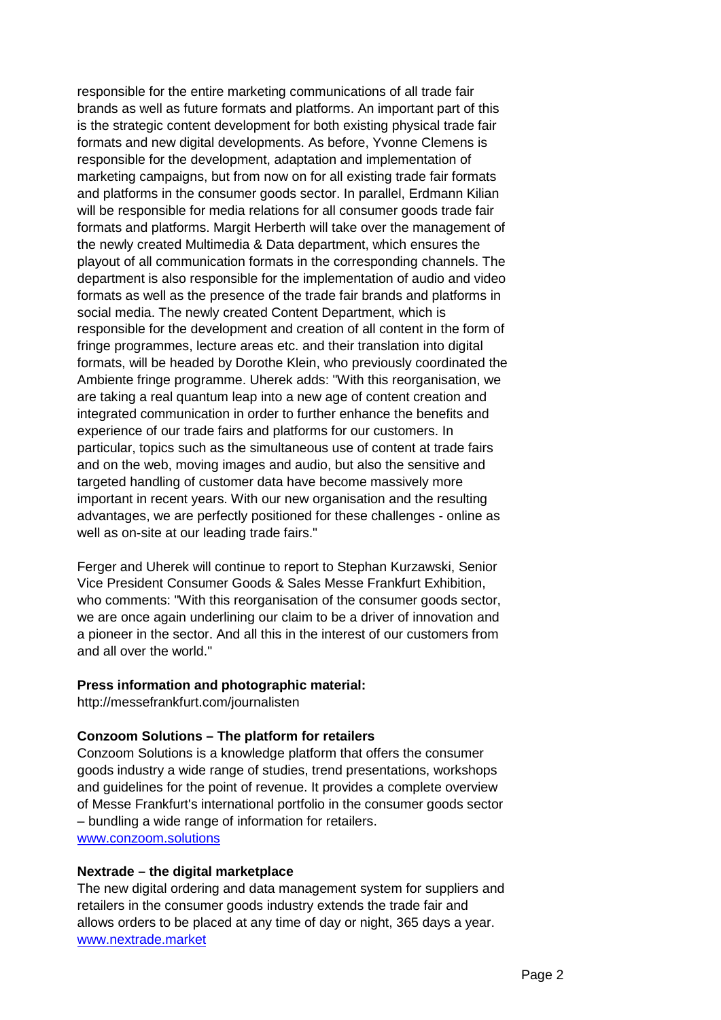responsible for the entire marketing communications of all trade fair brands as well as future formats and platforms. An important part of this is the strategic content development for both existing physical trade fair formats and new digital developments. As before, Yvonne Clemens is responsible for the development, adaptation and implementation of marketing campaigns, but from now on for all existing trade fair formats and platforms in the consumer goods sector. In parallel, Erdmann Kilian will be responsible for media relations for all consumer goods trade fair formats and platforms. Margit Herberth will take over the management of the newly created Multimedia & Data department, which ensures the playout of all communication formats in the corresponding channels. The department is also responsible for the implementation of audio and video formats as well as the presence of the trade fair brands and platforms in social media. The newly created Content Department, which is responsible for the development and creation of all content in the form of fringe programmes, lecture areas etc. and their translation into digital formats, will be headed by Dorothe Klein, who previously coordinated the Ambiente fringe programme. Uherek adds: "With this reorganisation, we are taking a real quantum leap into a new age of content creation and integrated communication in order to further enhance the benefits and experience of our trade fairs and platforms for our customers. In particular, topics such as the simultaneous use of content at trade fairs and on the web, moving images and audio, but also the sensitive and targeted handling of customer data have become massively more important in recent years. With our new organisation and the resulting advantages, we are perfectly positioned for these challenges - online as well as on-site at our leading trade fairs."

Ferger and Uherek will continue to report to Stephan Kurzawski, Senior Vice President Consumer Goods & Sales Messe Frankfurt Exhibition, who comments: "With this reorganisation of the consumer goods sector, we are once again underlining our claim to be a driver of innovation and a pioneer in the sector. And all this in the interest of our customers from and all over the world."

## **Press information and photographic material:**

http://messefrankfurt.com/journalisten

## **Conzoom Solutions – The platform for retailers**

Conzoom Solutions is a knowledge platform that offers the consumer goods industry a wide range of studies, trend presentations, workshops and guidelines for the point of revenue. It provides a complete overview of Messe Frankfurt's international portfolio in the consumer goods sector – bundling a wide range of information for retailers. www.conzoom.solutions

#### **Nextrade – the digital marketplace**

The new digital ordering and data management system for suppliers and retailers in the consumer goods industry extends the trade fair and allows orders to be placed at any time of day or night, 365 days a year. www.nextrade.market